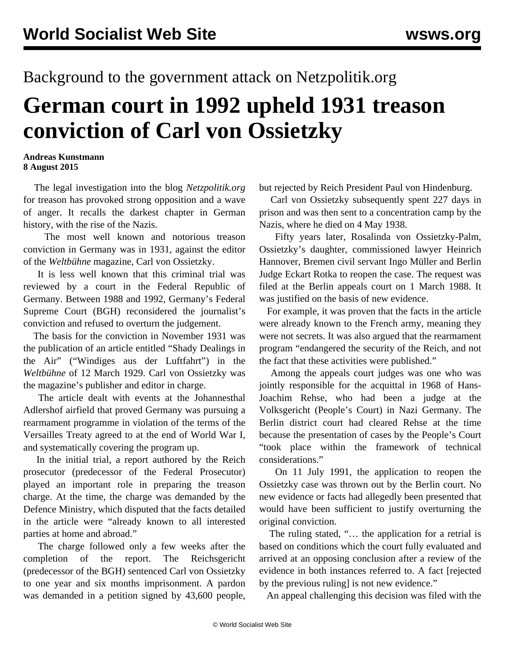## Background to the government attack on Netzpolitik.org

## **German court in 1992 upheld 1931 treason conviction of Carl von Ossietzky**

## **Andreas Kunstmann 8 August 2015**

 The legal [investigation](/en/articles/2015/08/05/cens-a05.html) into the blog *Netzpolitik.org* for treason has provoked strong opposition and a wave of anger. It recalls the darkest chapter in German history, with the rise of the Nazis.

 The most well known and notorious treason conviction in Germany was in 1931, against the editor of the *Weltbühne* magazine, Carl von Ossietzky.

 It is less well known that this criminal trial was reviewed by a court in the Federal Republic of Germany. Between 1988 and 1992, Germany's Federal Supreme Court (BGH) reconsidered the journalist's conviction and refused to overturn the judgement.

 The basis for the conviction in November 1931 was the publication of an article entitled "Shady Dealings in the Air" ("Windiges aus der Luftfahrt") in the *Weltbühne* of 12 March 1929. Carl von Ossietzky was the magazine's publisher and editor in charge.

 The article dealt with events at the Johannesthal Adlershof airfield that proved Germany was pursuing a rearmament programme in violation of the terms of the Versailles Treaty agreed to at the end of World War I, and systematically covering the program up.

 In the initial trial, a report authored by the Reich prosecutor (predecessor of the Federal Prosecutor) played an important role in preparing the treason charge. At the time, the charge was demanded by the Defence Ministry, which disputed that the facts detailed in the article were "already known to all interested parties at home and abroad."

 The charge followed only a few weeks after the completion of the report. The Reichsgericht (predecessor of the BGH) sentenced Carl von Ossietzky to one year and six months imprisonment. A pardon was demanded in a petition signed by 43,600 people,

but rejected by Reich President Paul von Hindenburg.

 Carl von Ossietzky subsequently spent 227 days in prison and was then sent to a concentration camp by the Nazis, where he died on 4 May 1938.

 Fifty years later, Rosalinda von Ossietzky-Palm, Ossietzky's daughter, commissioned lawyer Heinrich Hannover, Bremen civil servant Ingo Müller and Berlin Judge Eckart Rotka to reopen the case. The request was filed at the Berlin appeals court on 1 March 1988. It was justified on the basis of new evidence.

 For example, it was proven that the facts in the article were already known to the French army, meaning they were not secrets. It was also argued that the rearmament program "endangered the security of the Reich, and not the fact that these activities were published."

 Among the appeals court judges was one who was jointly responsible for the acquittal in 1968 of Hans-Joachim Rehse, who had been a judge at the Volksgericht (People's Court) in Nazi Germany. The Berlin district court had cleared Rehse at the time because the presentation of cases by the People's Court "took place within the framework of technical considerations."

 On 11 July 1991, the application to reopen the Ossietzky case was thrown out by the Berlin court. No new evidence or facts had allegedly been presented that would have been sufficient to justify overturning the original conviction.

 The ruling stated, "… the application for a retrial is based on conditions which the court fully evaluated and arrived at an opposing conclusion after a review of the evidence in both instances referred to. A fact [rejected by the previous ruling] is not new evidence."

An appeal challenging this decision was filed with the